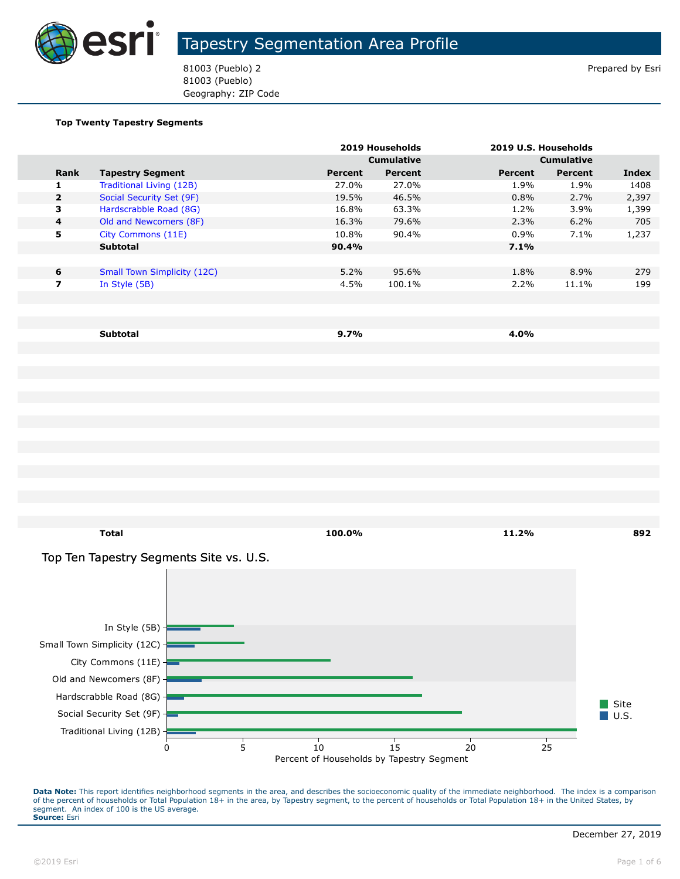

81003 (Pueblo) 2 Prepared by Esri 81003 (Pueblo) Geography: ZIP Code

#### **Top Twenty Tapestry Segments**

|                         |                                    |         | 2019 Households   |         | 2019 U.S. Households |       |
|-------------------------|------------------------------------|---------|-------------------|---------|----------------------|-------|
|                         |                                    |         | <b>Cumulative</b> |         | <b>Cumulative</b>    |       |
| <b>Rank</b>             | <b>Tapestry Segment</b>            | Percent | Percent           | Percent | Percent              | Index |
| 1.                      | Traditional Living (12B)           | 27.0%   | 27.0%             | 1.9%    | 1.9%                 | 1408  |
| $\overline{2}$          | Social Security Set (9F)           | 19.5%   | 46.5%             | 0.8%    | 2.7%                 | 2,397 |
| 3                       | Hardscrabble Road (8G)             | 16.8%   | 63.3%             | 1.2%    | $3.9\%$              | 1,399 |
| $\overline{\mathbf{4}}$ | Old and Newcomers (8F)             | 16.3%   | 79.6%             | 2.3%    | 6.2%                 | 705   |
| 5                       | City Commons (11E)                 | 10.8%   | 90.4%             | $0.9\%$ | 7.1%                 | 1,237 |
|                         | <b>Subtotal</b>                    | 90.4%   |                   | 7.1%    |                      |       |
|                         |                                    |         |                   |         |                      |       |
| 6                       | <b>Small Town Simplicity (12C)</b> | 5.2%    | 95.6%             | 1.8%    | 8.9%                 | 279   |
| 7                       | In Style (5B)                      | 4.5%    | 100.1%            | 2.2%    | 11.1%                | 199   |
|                         |                                    |         |                   |         |                      |       |
|                         |                                    |         |                   |         |                      |       |
|                         |                                    |         |                   |         |                      |       |

**Subtotal 9.7% 4.0%**

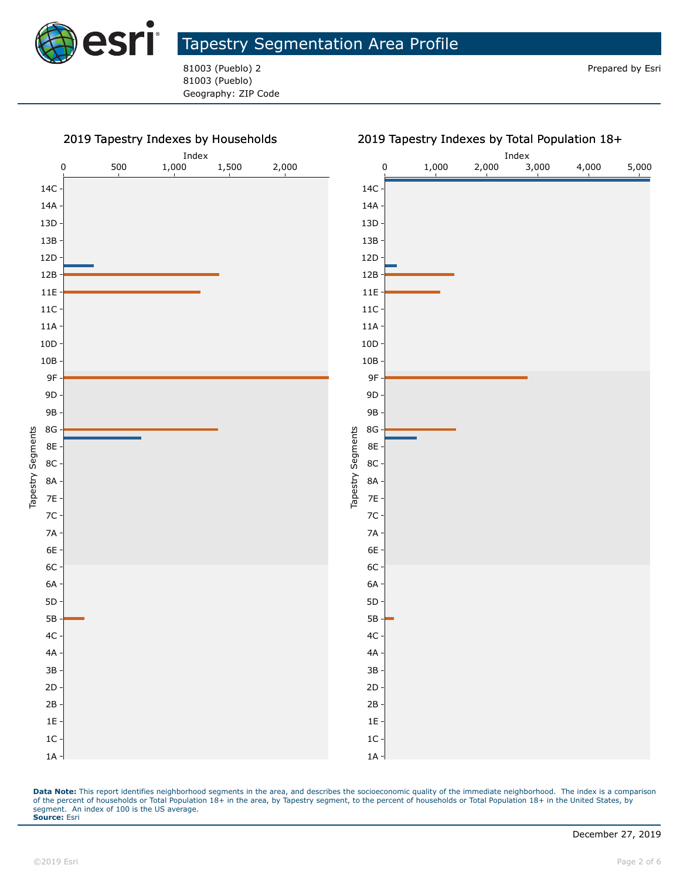

81003 (Pueblo) 2 Prepared by Esri 81003 (Pueblo) Geography: ZIP Code

#### 2019 Tapestry Indexes by Households

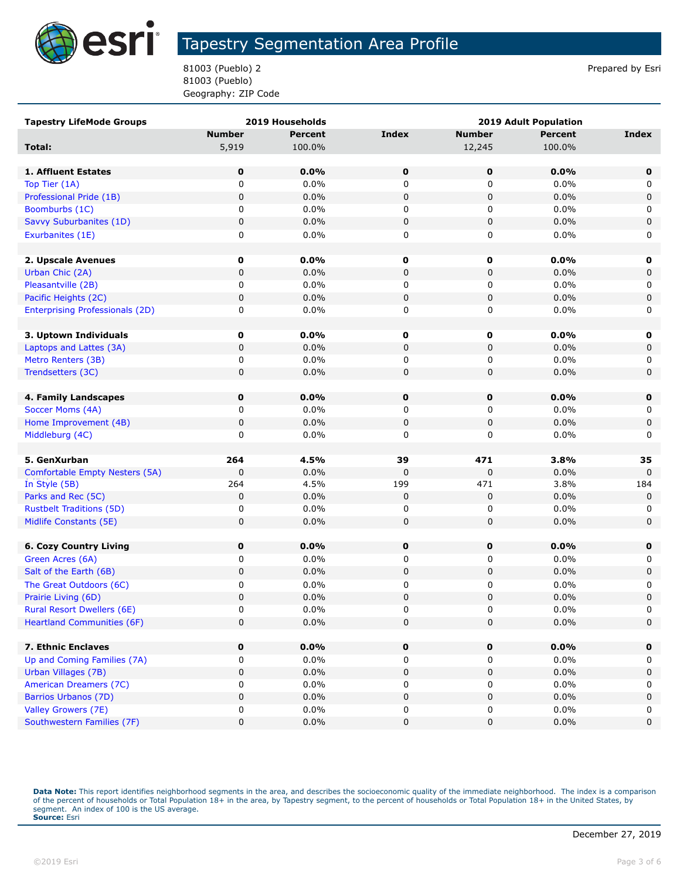

81003 (Pueblo) 2 Prepared by Esri 81003 (Pueblo) Geography: ZIP Code

| <b>Tapestry LifeMode Groups</b>        | 2019 Households |                | <b>2019 Adult Population</b> |               |                |              |
|----------------------------------------|-----------------|----------------|------------------------------|---------------|----------------|--------------|
|                                        | <b>Number</b>   | <b>Percent</b> | <b>Index</b>                 | <b>Number</b> | <b>Percent</b> | <b>Index</b> |
| Total:                                 | 5,919           | 100.0%         |                              | 12,245        | 100.0%         |              |
|                                        |                 |                |                              |               |                |              |
| 1. Affluent Estates                    | $\mathbf 0$     | 0.0%           | $\mathbf 0$                  | 0             | 0.0%           | $\mathbf 0$  |
| Top Tier (1A)                          | $\mathbf 0$     | 0.0%           | 0                            | $\mathbf 0$   | 0.0%           | 0            |
| Professional Pride (1B)                | $\mathbf 0$     | 0.0%           | 0                            | 0             | 0.0%           | 0            |
| Boomburbs (1C)                         | 0               | 0.0%           | 0                            | 0             | 0.0%           | 0            |
| Savvy Suburbanites (1D)                | 0               | 0.0%           | 0                            | $\pmb{0}$     | 0.0%           | $\pmb{0}$    |
| Exurbanites (1E)                       | 0               | 0.0%           | 0                            | 0             | 0.0%           | 0            |
|                                        |                 |                |                              |               |                |              |
| 2. Upscale Avenues                     | 0               | 0.0%           | 0                            | 0             | 0.0%           | 0            |
| Urban Chic (2A)                        | $\pmb{0}$       | 0.0%           | 0                            | 0             | 0.0%           | 0            |
| Pleasantville (2B)                     | 0               | 0.0%           | 0                            | 0             | 0.0%           | 0            |
| Pacific Heights (2C)                   | 0               | 0.0%           | 0                            | 0             | 0.0%           | 0            |
| <b>Enterprising Professionals (2D)</b> | 0               | 0.0%           | 0                            | 0             | 0.0%           | 0            |
|                                        |                 |                |                              |               |                |              |
| 3. Uptown Individuals                  | 0               | $0.0\%$        | 0                            | 0             | 0.0%           | 0            |
| Laptops and Lattes (3A)                | 0               | 0.0%           | 0                            | 0             | 0.0%           | 0            |
| Metro Renters (3B)                     | 0               | 0.0%           | 0                            | 0             | 0.0%           | 0            |
| Trendsetters (3C)                      | 0               | 0.0%           | 0                            | 0             | 0.0%           | $\mathbf 0$  |
|                                        |                 |                |                              |               |                |              |
| 4. Family Landscapes                   | $\mathbf 0$     | 0.0%           | $\mathbf 0$                  | 0             | 0.0%           | $\mathbf 0$  |
| Soccer Moms (4A)                       | 0               | 0.0%           | 0                            | 0             | 0.0%           | 0            |
| Home Improvement (4B)                  | $\pmb{0}$       | 0.0%           | 0                            | 0             | 0.0%           | 0            |
| Middleburg (4C)                        | 0               | 0.0%           | 0                            | 0             | 0.0%           | 0            |
|                                        |                 |                |                              |               |                |              |
| 5. GenXurban                           | 264             | 4.5%           | 39                           | 471           | 3.8%           | 35           |
| Comfortable Empty Nesters (5A)         | $\mathbf 0$     | 0.0%           | 0                            | 0             | 0.0%           | 0            |
| In Style (5B)                          | 264             | 4.5%           | 199                          | 471           | 3.8%           | 184          |
| Parks and Rec (5C)                     | $\mathbf 0$     | 0.0%           | 0                            | $\pmb{0}$     | 0.0%           | $\mathbf 0$  |
| <b>Rustbelt Traditions (5D)</b>        | 0               | 0.0%           | 0                            | 0             | 0.0%           | 0            |
| Midlife Constants (5E)                 | 0               | 0.0%           | 0                            | 0             | 0.0%           | $\mathbf 0$  |
|                                        |                 |                |                              |               |                |              |
| <b>6. Cozy Country Living</b>          | 0               | 0.0%           | 0                            | 0             | 0.0%           | $\mathbf 0$  |
| Green Acres (6A)                       | 0               | 0.0%           | 0                            | 0             | 0.0%           | 0            |
| Salt of the Earth (6B)                 | 0               | 0.0%           | 0                            | 0             | 0.0%           | 0            |
| The Great Outdoors (6C)                | 0               | 0.0%           | 0                            | 0             | 0.0%           | 0            |
| Prairie Living (6D)                    | $\pmb{0}$       | 0.0%           | 0                            | 0             | 0.0%           | $\pmb{0}$    |
| <b>Rural Resort Dwellers (6E)</b>      | 0               | 0.0%           | $\Omega$                     | 0             | 0.0%           | 0            |
| <b>Heartland Communities (6F)</b>      | $\mathbf 0$     | 0.0%           | 0                            | 0             | 0.0%           | 0            |
|                                        |                 |                |                              |               |                |              |
| 7. Ethnic Enclaves                     | 0               | $0.0\%$        | 0                            | 0             | 0.0%           | $\mathbf 0$  |
| Up and Coming Families (7A)            | 0               | 0.0%           | 0                            | 0             | 0.0%           | 0            |
| Urban Villages (7B)                    | 0               | 0.0%           | 0                            | 0             | 0.0%           | 0            |
| American Dreamers (7C)                 | 0               | 0.0%           | 0                            | 0             | 0.0%           | 0            |
| Barrios Urbanos (7D)                   | 0               | 0.0%           | 0                            | 0             | 0.0%           | $\pmb{0}$    |
| Valley Growers (7E)                    | 0               | 0.0%           | 0                            | 0             | 0.0%           | 0            |
| Southwestern Families (7F)             | 0               | 0.0%           | 0                            | 0             | 0.0%           | $\pmb{0}$    |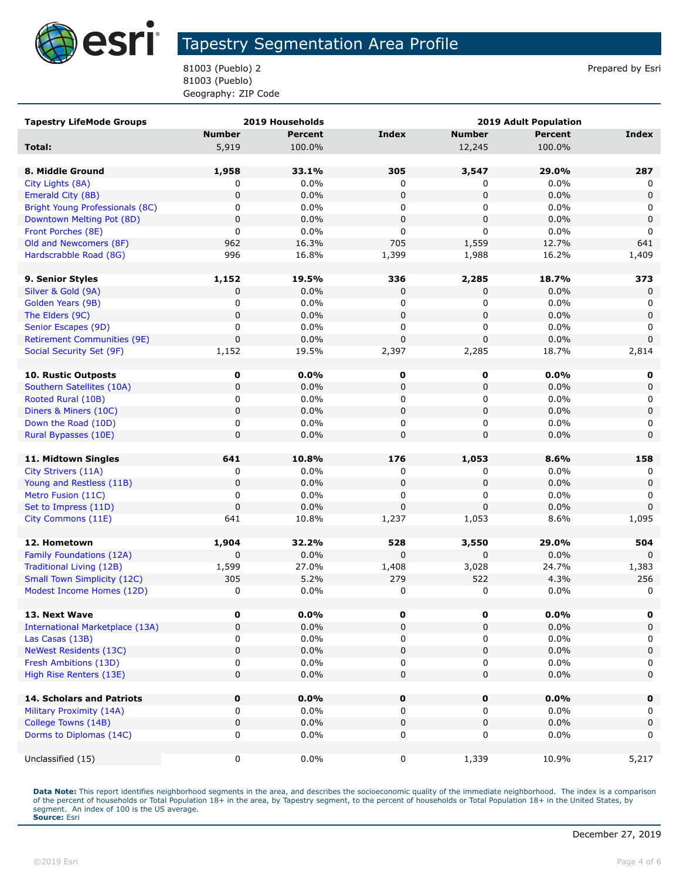

81003 (Pueblo) 2 Prepared by Esri 81003 (Pueblo) Geography: ZIP Code

| <b>Tapestry LifeMode Groups</b><br>2019 Households |               |                |                  | 2019 Adult Population |                 |                  |  |  |
|----------------------------------------------------|---------------|----------------|------------------|-----------------------|-----------------|------------------|--|--|
|                                                    | <b>Number</b> | <b>Percent</b> | <b>Index</b>     | <b>Number</b>         | <b>Percent</b>  | Index            |  |  |
| Total:                                             | 5,919         | 100.0%         |                  | 12,245                | 100.0%          |                  |  |  |
|                                                    |               |                |                  |                       |                 |                  |  |  |
| 8. Middle Ground                                   | 1,958         | 33.1%          | 305              | 3,547                 | 29.0%           | 287              |  |  |
| City Lights (8A)                                   | 0             | 0.0%           | 0                | 0                     | 0.0%            | 0                |  |  |
| Emerald City (8B)                                  | $\mathbf 0$   | 0.0%           | $\mathbf 0$      | 0                     | 0.0%            | $\Omega$         |  |  |
| Bright Young Professionals (8C)                    | 0             | 0.0%           | 0                | 0                     | $0.0\%$         | 0                |  |  |
| Downtown Melting Pot (8D)                          | 0             | 0.0%           | $\mathbf 0$      | 0                     | 0.0%            | $\mathbf 0$      |  |  |
| Front Porches (8E)                                 | 0             | 0.0%           | 0                | $\mathbf 0$           | 0.0%            | 0                |  |  |
| Old and Newcomers (8F)                             | 962           | 16.3%          | 705              | 1,559                 | 12.7%           | 641              |  |  |
| Hardscrabble Road (8G)                             | 996           | 16.8%          | 1,399            | 1,988                 | 16.2%           | 1,409            |  |  |
|                                                    |               |                |                  |                       |                 |                  |  |  |
| 9. Senior Styles                                   | 1,152         | 19.5%          | 336              | 2,285                 | 18.7%           | 373              |  |  |
| Silver & Gold (9A)                                 | 0             | 0.0%           | 0                | $\mathbf{0}$          | 0.0%            | $\Omega$         |  |  |
| Golden Years (9B)                                  | 0             | 0.0%           | 0                | 0                     | 0.0%            | 0                |  |  |
| The Elders (9C)                                    | $\mathbf 0$   | 0.0%           | $\mathbf 0$      | 0                     | 0.0%            | $\mathbf 0$      |  |  |
| Senior Escapes (9D)                                | 0             | 0.0%           | 0                | 0                     | $0.0\%$         | 0                |  |  |
| <b>Retirement Communities (9E)</b>                 | 0             | 0.0%           | 0                | 0                     | 0.0%            | $\mathbf 0$      |  |  |
| Social Security Set (9F)                           | 1,152         | 19.5%          | 2,397            | 2,285                 | 18.7%           | 2,814            |  |  |
|                                                    |               |                |                  |                       |                 |                  |  |  |
| <b>10. Rustic Outposts</b>                         | 0             | $0.0\%$        | 0                | 0                     | $0.0\%$         | 0                |  |  |
| Southern Satellites (10A)                          | 0             | 0.0%           | 0                | 0                     | 0.0%            | 0                |  |  |
| Rooted Rural (10B)                                 | 0             | $0.0\%$        | 0                | 0                     | $0.0\%$         | 0                |  |  |
| Diners & Miners (10C)                              | $\mathbf 0$   | 0.0%           | $\mathbf 0$      | $\mathbf 0$           | 0.0%            | 0                |  |  |
| Down the Road (10D)                                | 0             | 0.0%           | 0                | 0                     | 0.0%            | 0                |  |  |
| Rural Bypasses (10E)                               | 0             | 0.0%           | $\mathbf 0$      | 0                     | 0.0%            | $\mathbf 0$      |  |  |
|                                                    |               |                |                  |                       |                 |                  |  |  |
| 11. Midtown Singles                                | 641           | 10.8%          | 176              | 1,053                 | 8.6%            | 158              |  |  |
| City Strivers (11A)                                | 0             | $0.0\%$        | 0                | 0                     | 0.0%            | 0                |  |  |
| Young and Restless (11B)                           | $\mathbf 0$   | 0.0%           | $\mathbf 0$      | $\mathbf 0$           | 0.0%            | 0                |  |  |
| Metro Fusion (11C)                                 | 0             | 0.0%           | 0                | 0                     | $0.0\%$         | 0                |  |  |
| Set to Impress (11D)                               | 0             | 0.0%           | $\mathbf 0$      | 0                     | 0.0%            | $\Omega$         |  |  |
| City Commons (11E)                                 | 641           | 10.8%          | 1,237            | 1,053                 | 8.6%            | 1,095            |  |  |
|                                                    |               |                |                  |                       |                 |                  |  |  |
| 12. Hometown                                       | 1,904         | 32.2%          | 528              | 3,550                 | 29.0%           | 504              |  |  |
| Family Foundations (12A)                           | $\mathbf 0$   | 0.0%           | 0                | $\mathbf 0$           | 0.0%            | $\Omega$         |  |  |
| <b>Traditional Living (12B)</b>                    | 1,599         | 27.0%          | 1,408            | 3,028                 | 24.7%           | 1,383            |  |  |
| <b>Small Town Simplicity (12C)</b>                 | 305           | 5.2%           | 279              | 522                   | 4.3%            | 256              |  |  |
| Modest Income Homes (12D)                          | 0             | 0.0%           | 0                | 0                     | 0.0%            | 0                |  |  |
|                                                    |               |                |                  |                       |                 |                  |  |  |
| 13. Next Wave                                      | 0             | $0.0\%$        | 0                | $\pmb{0}$             | 0.0%            | 0                |  |  |
| <b>International Marketplace (13A)</b>             | 0             | 0.0%           | $\mathbf 0$      | 0                     | 0.0%            | 0                |  |  |
| Las Casas (13B)                                    | 0             | 0.0%           | 0                | 0                     | 0.0%            | 0                |  |  |
| <b>NeWest Residents (13C)</b>                      | 0             | 0.0%           | $\pmb{0}$        | 0                     | 0.0%            | 0                |  |  |
| Fresh Ambitions (13D)                              | 0             | 0.0%           | 0                | 0                     | 0.0%            | 0                |  |  |
| High Rise Renters (13E)                            | 0             | 0.0%           | $\pmb{0}$        | 0                     | 0.0%            | $\mathbf 0$      |  |  |
|                                                    |               |                |                  |                       |                 |                  |  |  |
| 14. Scholars and Patriots                          | 0<br>0        | 0.0%<br>0.0%   | $\mathbf 0$<br>0 | $\mathbf 0$<br>0      | 0.0%<br>$0.0\%$ | $\mathbf 0$<br>0 |  |  |
| Military Proximity (14A)                           | 0             | 0.0%           |                  |                       | 0.0%            |                  |  |  |
| College Towns (14B)                                | 0             | 0.0%           | 0                | 0                     | 0.0%            | 0<br>0           |  |  |
| Dorms to Diplomas (14C)                            |               |                | 0                | 0                     |                 |                  |  |  |
| Unclassified (15)                                  | 0             | 0.0%           | 0                | 1,339                 | 10.9%           | 5,217            |  |  |
|                                                    |               |                |                  |                       |                 |                  |  |  |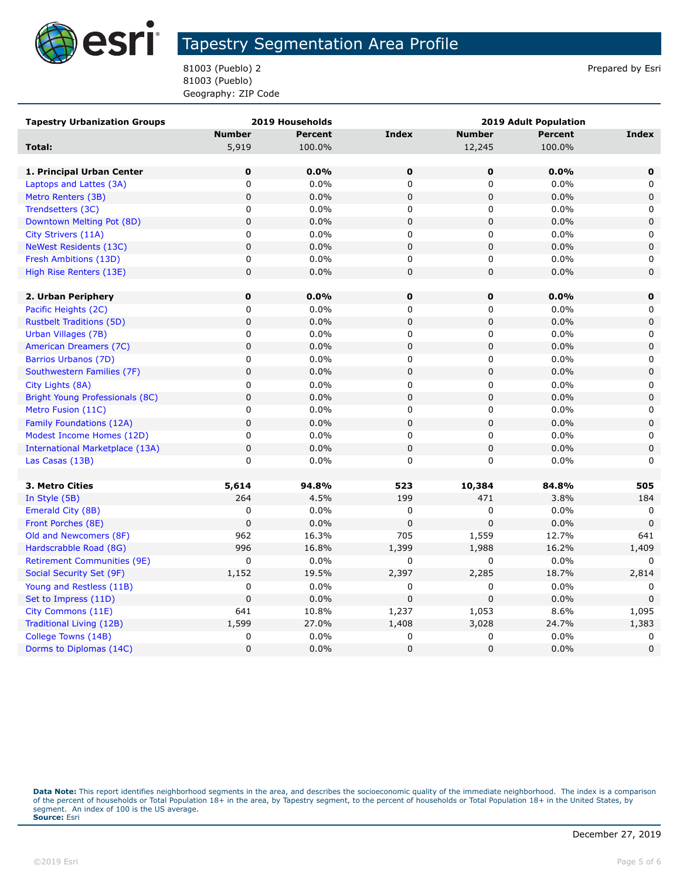

81003 (Pueblo) 2 Prepared by Esri 81003 (Pueblo) Geography: ZIP Code

| <b>Tapestry Urbanization Groups</b><br>2019 Households |               |                | 2019 Adult Population |               |                |              |
|--------------------------------------------------------|---------------|----------------|-----------------------|---------------|----------------|--------------|
|                                                        | <b>Number</b> | <b>Percent</b> | <b>Index</b>          | <b>Number</b> | <b>Percent</b> | <b>Index</b> |
| Total:                                                 | 5,919         | 100.0%         |                       | 12,245        | 100.0%         |              |
|                                                        |               |                |                       |               |                |              |
| 1. Principal Urban Center                              | $\mathbf 0$   | 0.0%           | $\mathbf 0$           | $\mathbf 0$   | 0.0%           | 0            |
| Laptops and Lattes (3A)                                | $\mathsf 0$   | 0.0%           | $\mathbf 0$           | 0             | 0.0%           | 0            |
| Metro Renters (3B)                                     | $\mathbf 0$   | 0.0%           | $\mathbf 0$           | $\mathbf 0$   | 0.0%           | $\mathbf 0$  |
| Trendsetters (3C)                                      | 0             | 0.0%           | 0                     | 0             | 0.0%           | 0            |
| Downtown Melting Pot (8D)                              | $\mathbf 0$   | 0.0%           | $\mathbf 0$           | 0             | 0.0%           | $\pmb{0}$    |
| City Strivers (11A)                                    | $\mathsf 0$   | 0.0%           | $\mathbf 0$           | 0             | 0.0%           | 0            |
| <b>NeWest Residents (13C)</b>                          | $\mathbf 0$   | 0.0%           | $\mathbf 0$           | 0             | 0.0%           | $\mathbf 0$  |
| Fresh Ambitions (13D)                                  | 0             | 0.0%           | 0                     | 0             | 0.0%           | 0            |
| High Rise Renters (13E)                                | $\mathbf 0$   | 0.0%           | $\pmb{0}$             | 0             | 0.0%           | $\pmb{0}$    |
|                                                        |               |                |                       |               |                |              |
| 2. Urban Periphery                                     | $\mathbf 0$   | 0.0%           | 0                     | 0             | 0.0%           | 0            |
| Pacific Heights (2C)                                   | 0             | 0.0%           | 0                     | 0             | 0.0%           | 0            |
| <b>Rustbelt Traditions (5D)</b>                        | $\mathbf 0$   | 0.0%           | $\mathbf 0$           | 0             | 0.0%           | 0            |
| Urban Villages (7B)                                    | $\pmb{0}$     | 0.0%           | $\mathbf 0$           | 0             | 0.0%           | 0            |
| American Dreamers (7C)                                 | $\pmb{0}$     | 0.0%           | $\mathbf 0$           | 0             | 0.0%           | $\mathbf 0$  |
| Barrios Urbanos (7D)                                   | $\mathsf 0$   | 0.0%           | 0                     | 0             | 0.0%           | 0            |
| Southwestern Families (7F)                             | $\pmb{0}$     | 0.0%           | $\mathbf 0$           | 0             | 0.0%           | 0            |
| City Lights (8A)                                       | 0             | 0.0%           | 0                     | 0             | 0.0%           | 0            |
| Bright Young Professionals (8C)                        | $\mathbf 0$   | 0.0%           | $\mathbf 0$           | 0             | 0.0%           | $\mathbf 0$  |
| Metro Fusion (11C)                                     | 0             | 0.0%           | 0                     | 0             | 0.0%           | 0            |
| Family Foundations (12A)                               | $\mathbf 0$   | 0.0%           | $\pmb{0}$             | 0             | 0.0%           | $\mathbf 0$  |
| Modest Income Homes (12D)                              | $\mathsf 0$   | 0.0%           | 0                     | 0             | 0.0%           | 0            |
| <b>International Marketplace (13A)</b>                 | $\mathbf 0$   | 0.0%           | $\pmb{0}$             | 0             | 0.0%           | $\mathbf 0$  |
| Las Casas (13B)                                        | $\mathbf 0$   | 0.0%           | $\mathbf 0$           | 0             | 0.0%           | $\Omega$     |
|                                                        |               |                |                       |               |                |              |
| 3. Metro Cities                                        | 5,614         | 94.8%          | 523                   | 10,384        | 84.8%          | 505          |
| In Style (5B)                                          | 264           | 4.5%           | 199                   | 471           | 3.8%           | 184          |
| Emerald City (8B)                                      | 0             | 0.0%           | $\pmb{0}$             | 0             | 0.0%           | 0            |
| Front Porches (8E)                                     | $\mathbf 0$   | 0.0%           | $\pmb{0}$             | 0             | 0.0%           | $\mathbf 0$  |
| Old and Newcomers (8F)                                 | 962           | 16.3%          | 705                   | 1,559         | 12.7%          | 641          |
| Hardscrabble Road (8G)                                 | 996           | 16.8%          | 1,399                 | 1,988         | 16.2%          | 1,409        |
| <b>Retirement Communities (9E)</b>                     | 0             | 0.0%           | 0                     | 0             | 0.0%           | 0            |
| Social Security Set (9F)                               | 1,152         | 19.5%          | 2,397                 | 2,285         | 18.7%          | 2,814        |
| Young and Restless (11B)                               | 0             | 0.0%           | 0                     | 0             | 0.0%           | 0            |
| Set to Impress (11D)                                   | $\mathbf 0$   | 0.0%           | $\mathbf 0$           | $\mathbf 0$   | 0.0%           | $\Omega$     |
| City Commons (11E)                                     | 641           | 10.8%          | 1,237                 | 1,053         | 8.6%           | 1,095        |
| Traditional Living (12B)                               | 1,599         | 27.0%          | 1,408                 | 3,028         | 24.7%          | 1,383        |
| College Towns (14B)                                    | 0             | 0.0%           | 0                     | 0             | 0.0%           | 0            |
| Dorms to Diplomas (14C)                                | 0             | 0.0%           | $\mathbf 0$           | $\mathbf 0$   | 0.0%           | $\Omega$     |